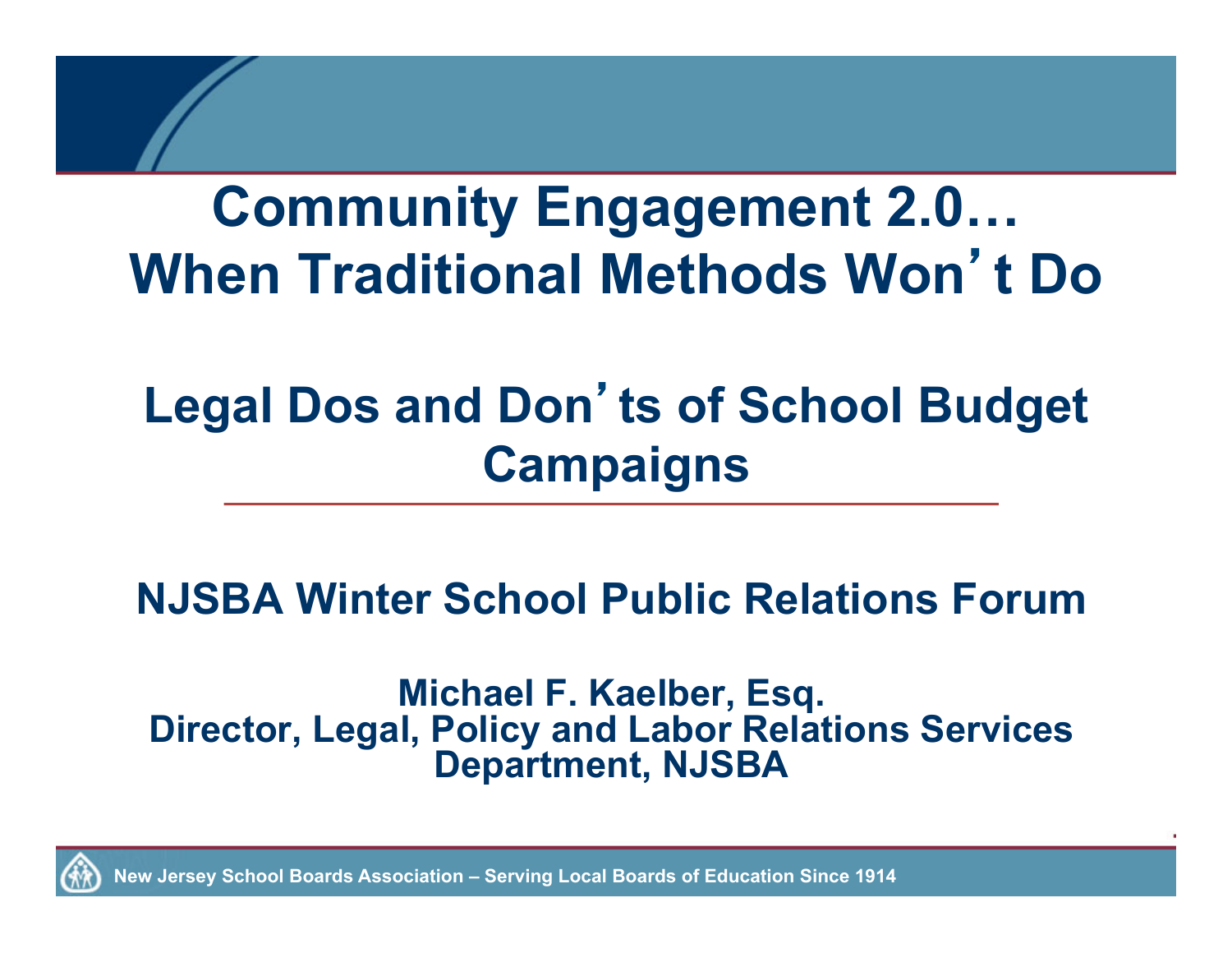#### **Community Engagement 2.0… When Traditional Methods Won**'**t Do**

#### **Legal Dos and Don**'**ts of School Budget Campaigns**

#### **NJSBA Winter School Public Relations Forum**

**Michael F. Kaelber, Esq. Director, Legal, Policy and Labor Relations Services Department, NJSBA** 

**New Jersey School Boards Association – Serving Local Boards of Education Since 1914**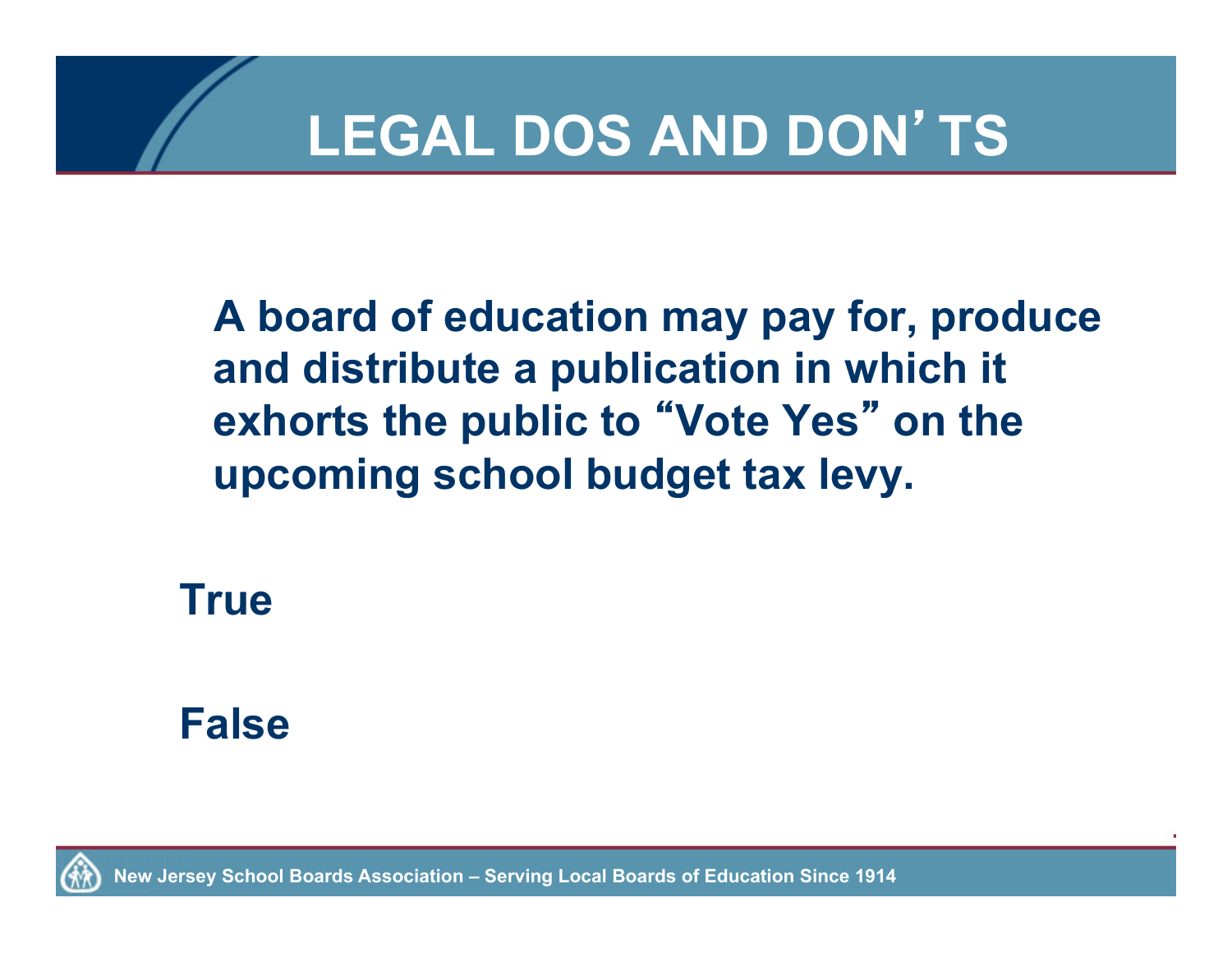**A board of education may pay for, produce and distribute a publication in which it exhorts the public to** "**Vote Yes**" **on the upcoming school budget tax levy.** 

**True** 

#### **False**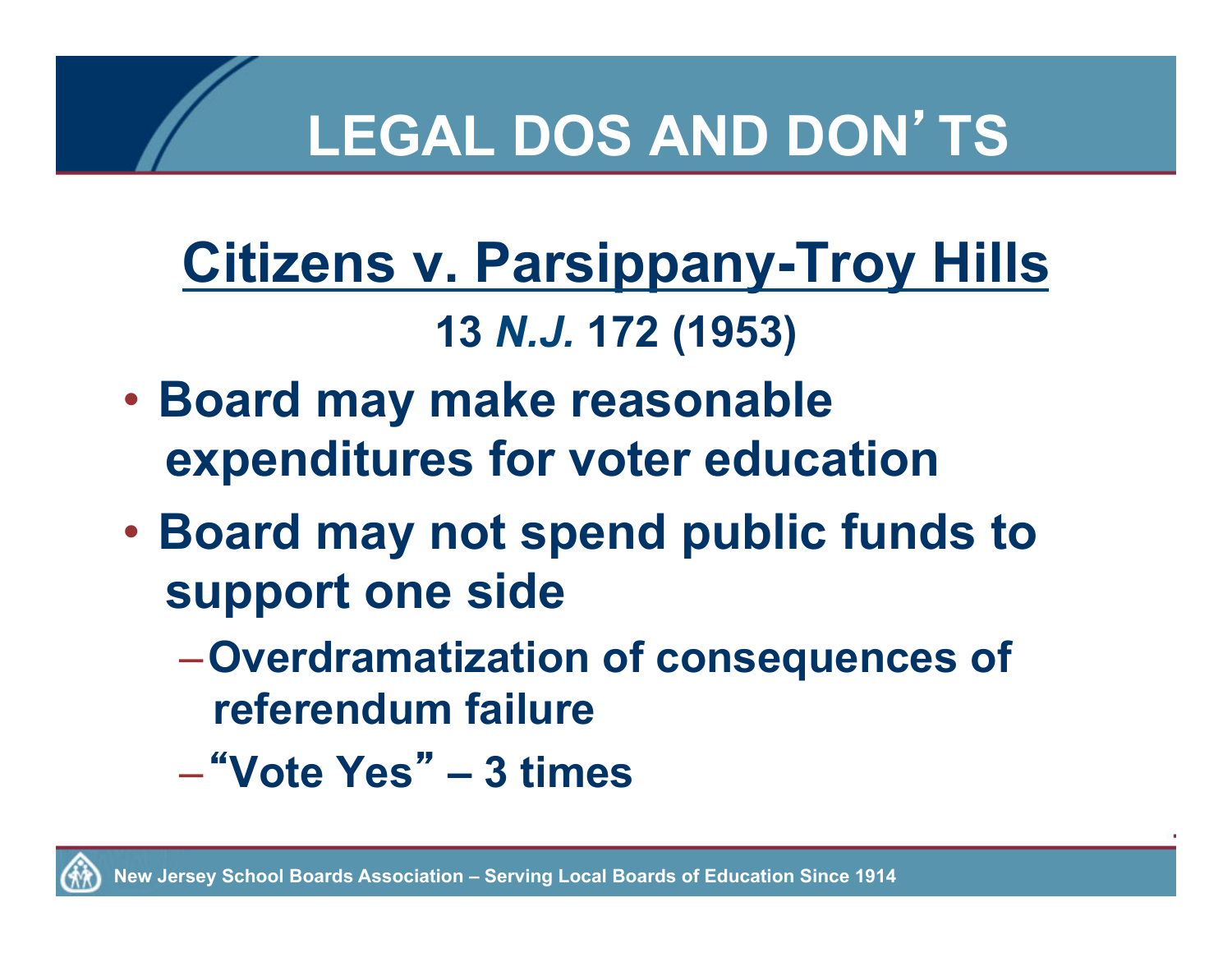#### **Citizens v. Parsippany-Troy Hills 13** *N.J.* **172 (1953)**

- **Board may make reasonable expenditures for voter education**
- **Board may not spend public funds to support one side**
	- –**Overdramatization of consequences of referendum failure**
	- –"**Vote Yes**" **3 times**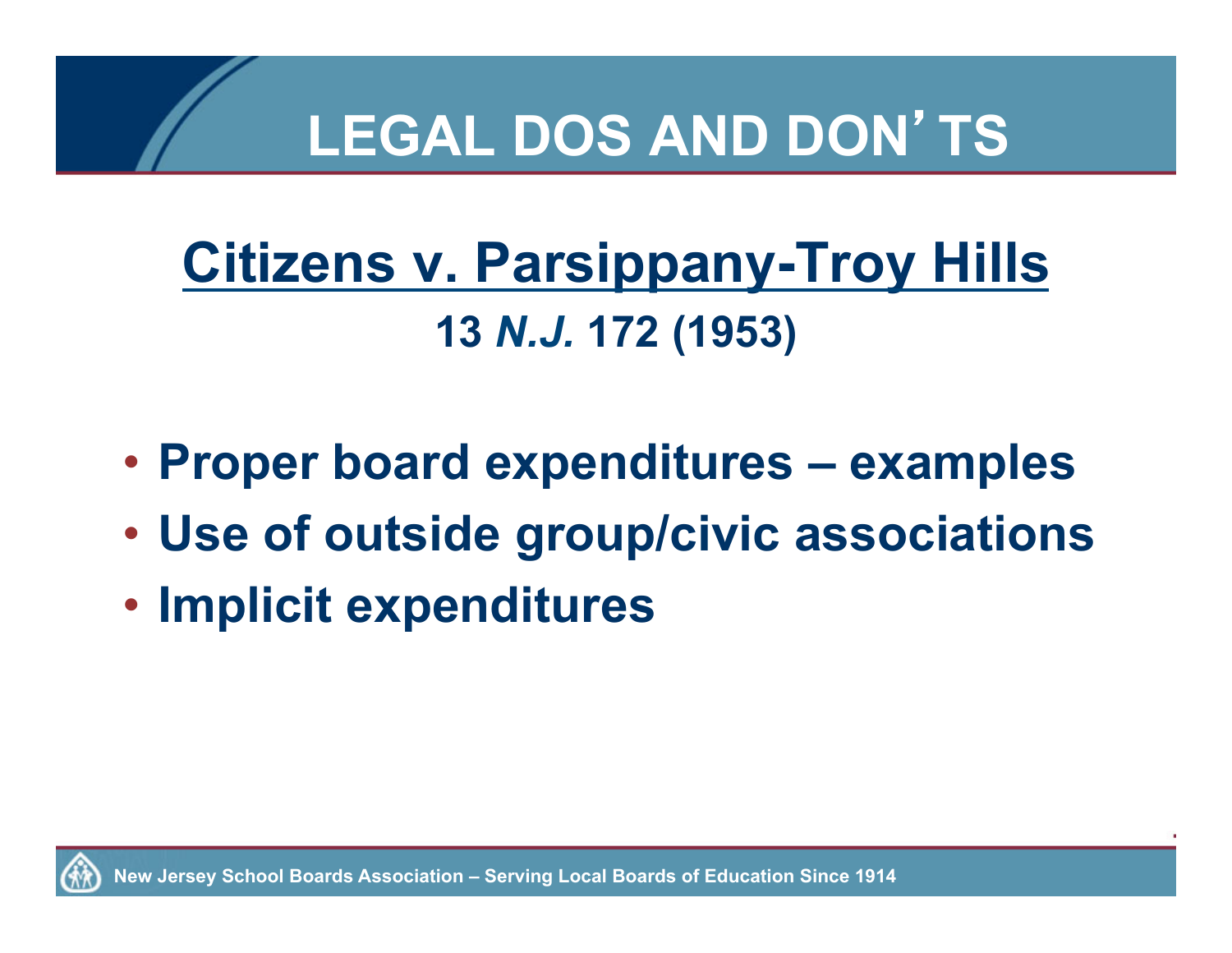## **Citizens v. Parsippany-Troy Hills 13** *N.J.* **172 (1953)**

- **Proper board expenditures examples**
- **Use of outside group/civic associations**
- **Implicit expenditures**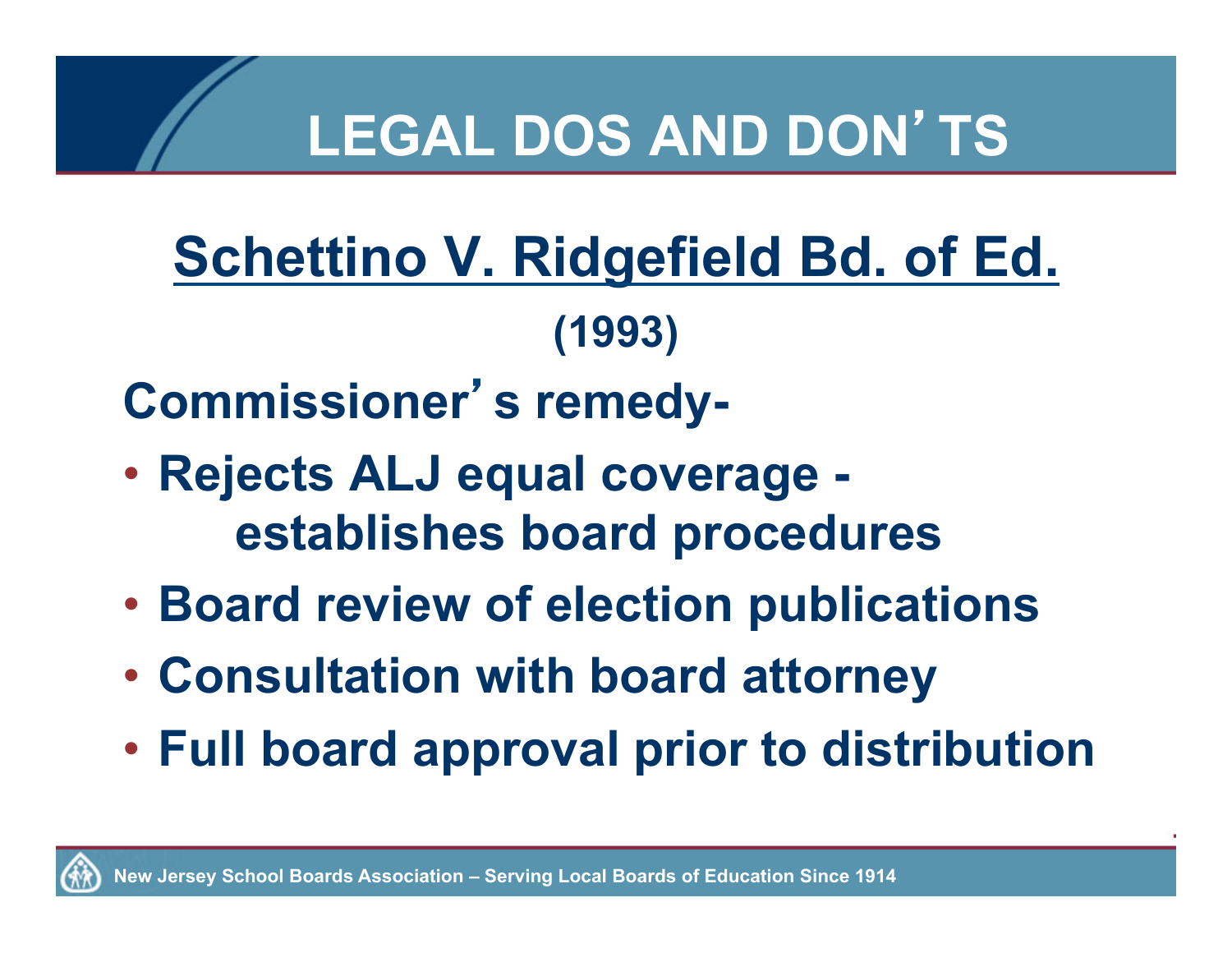## **Schettino V. Ridgefield Bd. of Ed. (1993)**

**Commissioner**'**s remedy-** 

- **Rejects ALJ equal coverage establishes board procedures**
- **Board review of election publications**
- **Consultation with board attorney**
- **Full board approval prior to distribution**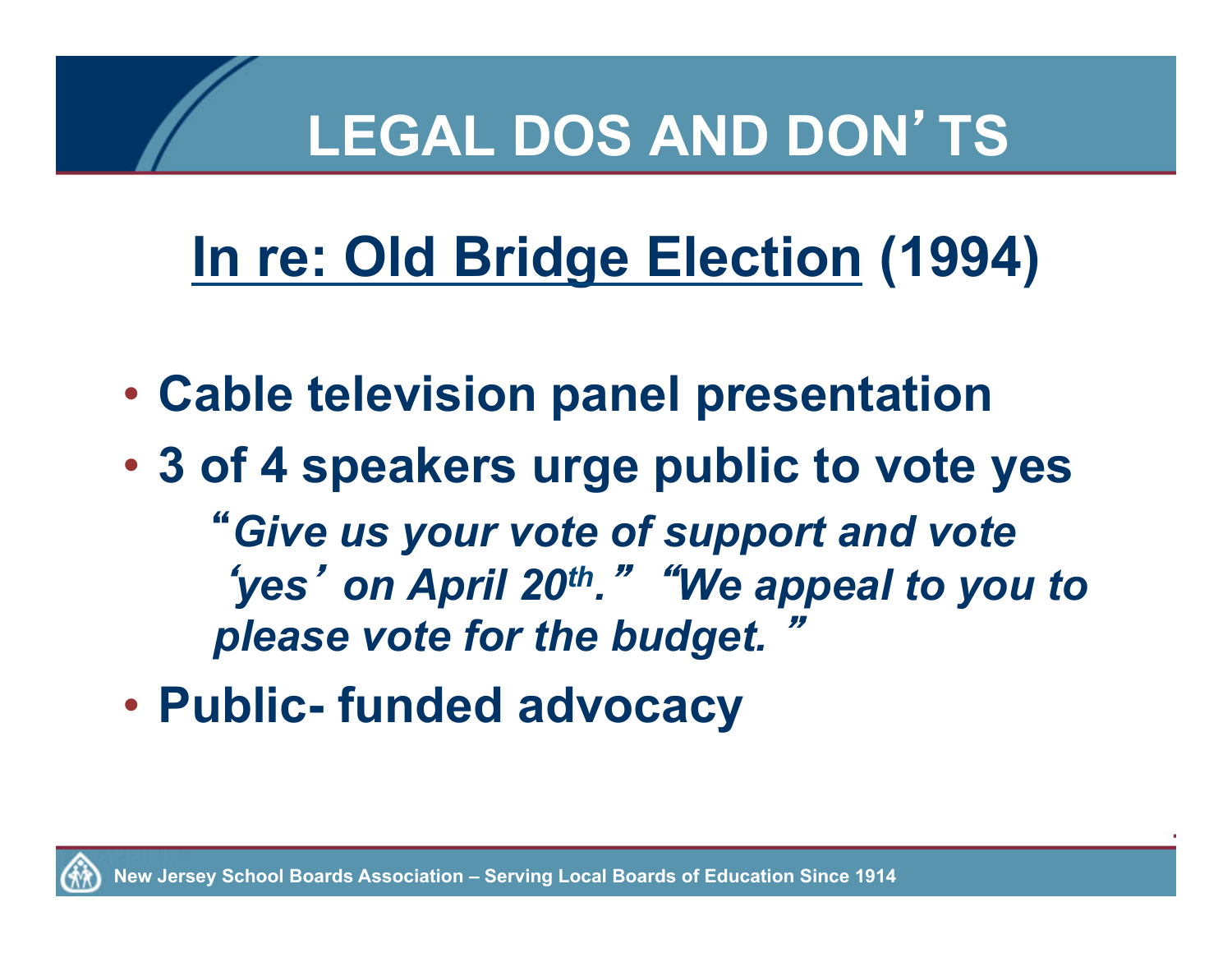# **In re: Old Bridge Election (1994)**

- **Cable television panel presentation**
- **3 of 4 speakers urge public to vote yes** "*Give us your vote of support and vote*  ʻ*yes* <sup>&#</sup>x27; *on April 20th.*" "*We appeal to you to*  **please vote for the budget.**
- **Public- funded advocacy**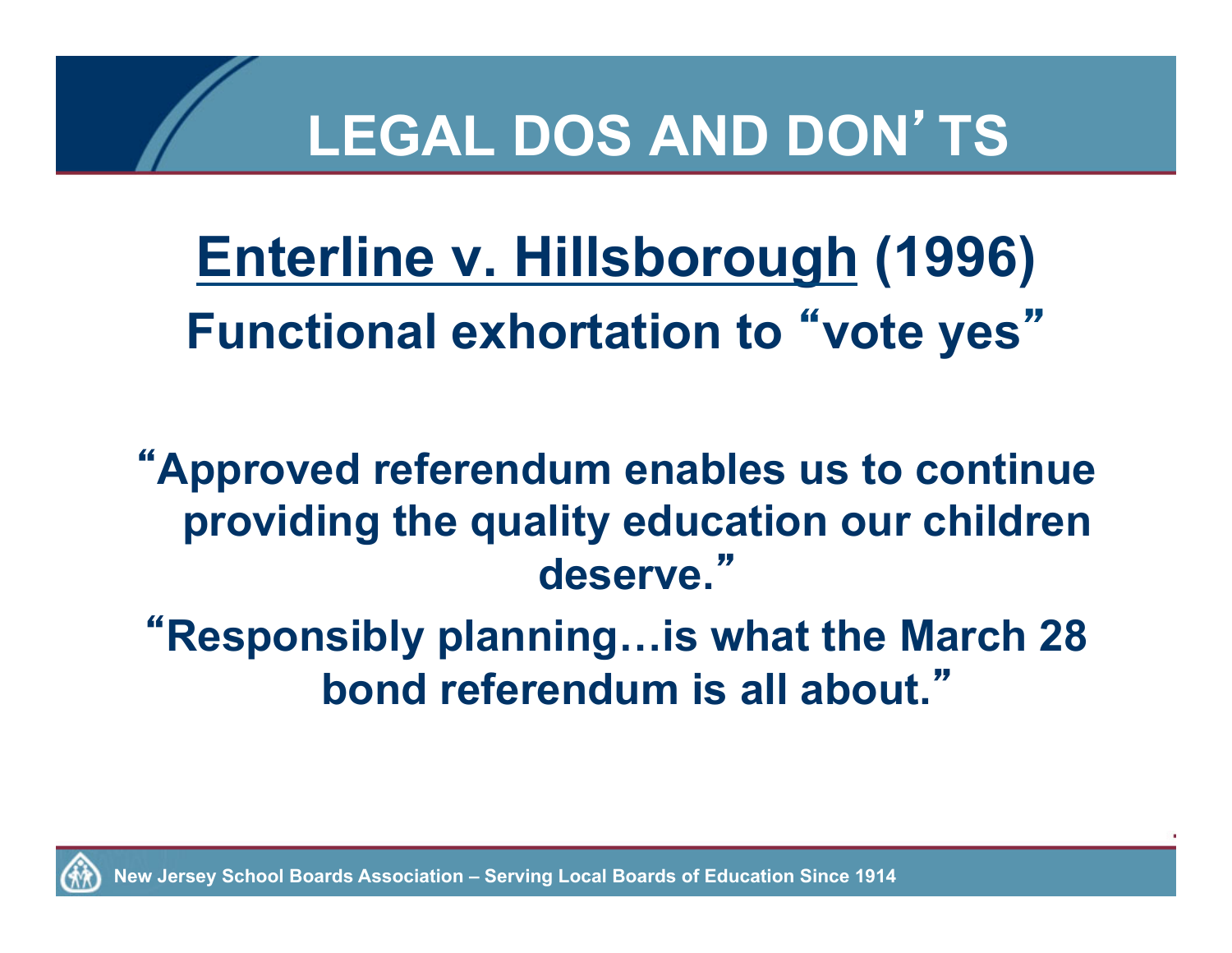**Enterline v. Hillsborough (1996) Functional exhortation to** "**vote yes**"

"**Approved referendum enables us to continue providing the quality education our children deserve.**"

"**Responsibly planning…is what the March 28 bond referendum is all about.**"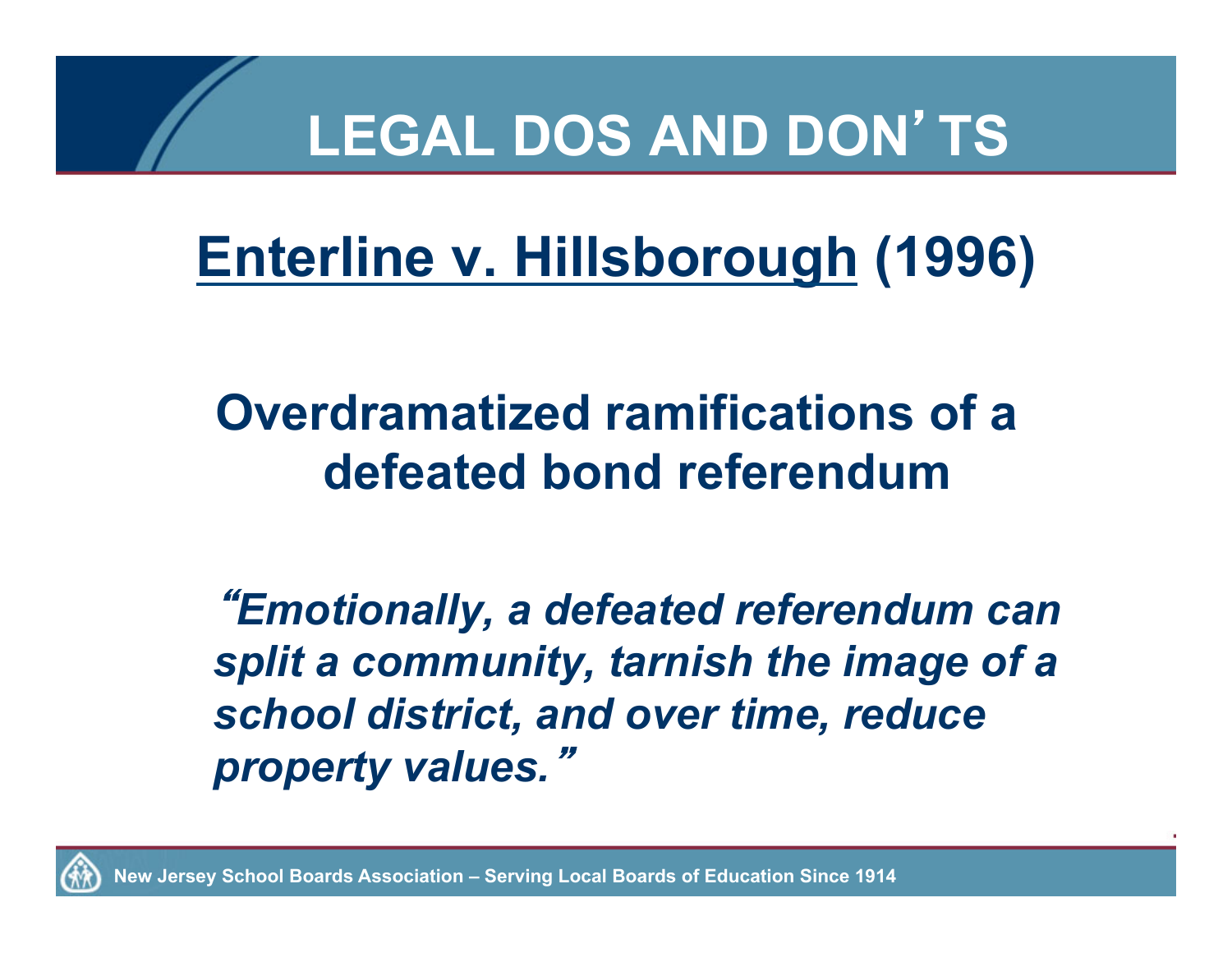## **Enterline v. Hillsborough (1996)**

#### **Overdramatized ramifications of a defeated bond referendum**

"*Emotionally, a defeated referendum can split a community, tarnish the image of a school district, and over time, reduce property values.*"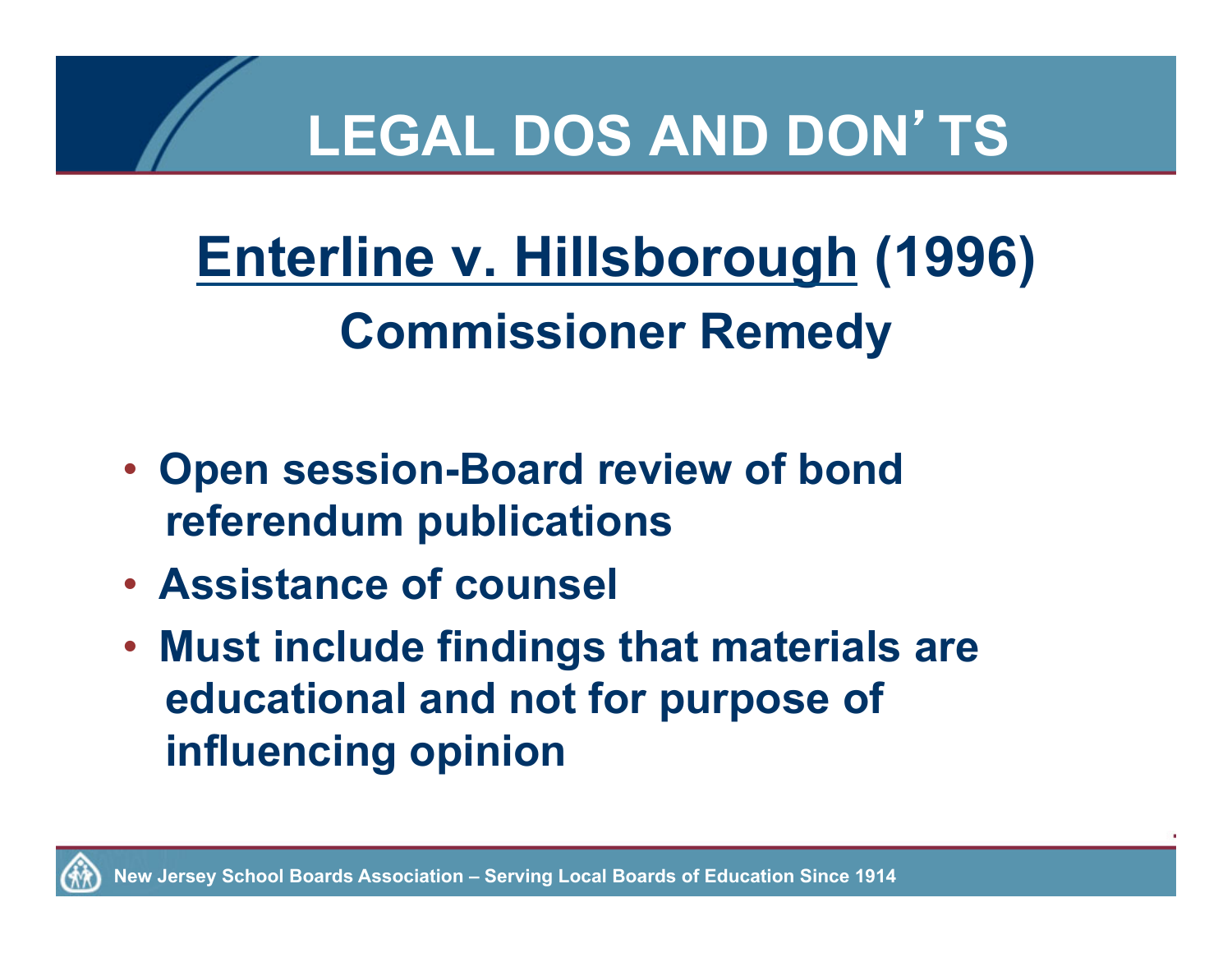## **Enterline v. Hillsborough (1996) Commissioner Remedy**

- **Open session-Board review of bond referendum publications**
- **Assistance of counsel**
- **Must include findings that materials are educational and not for purpose of influencing opinion**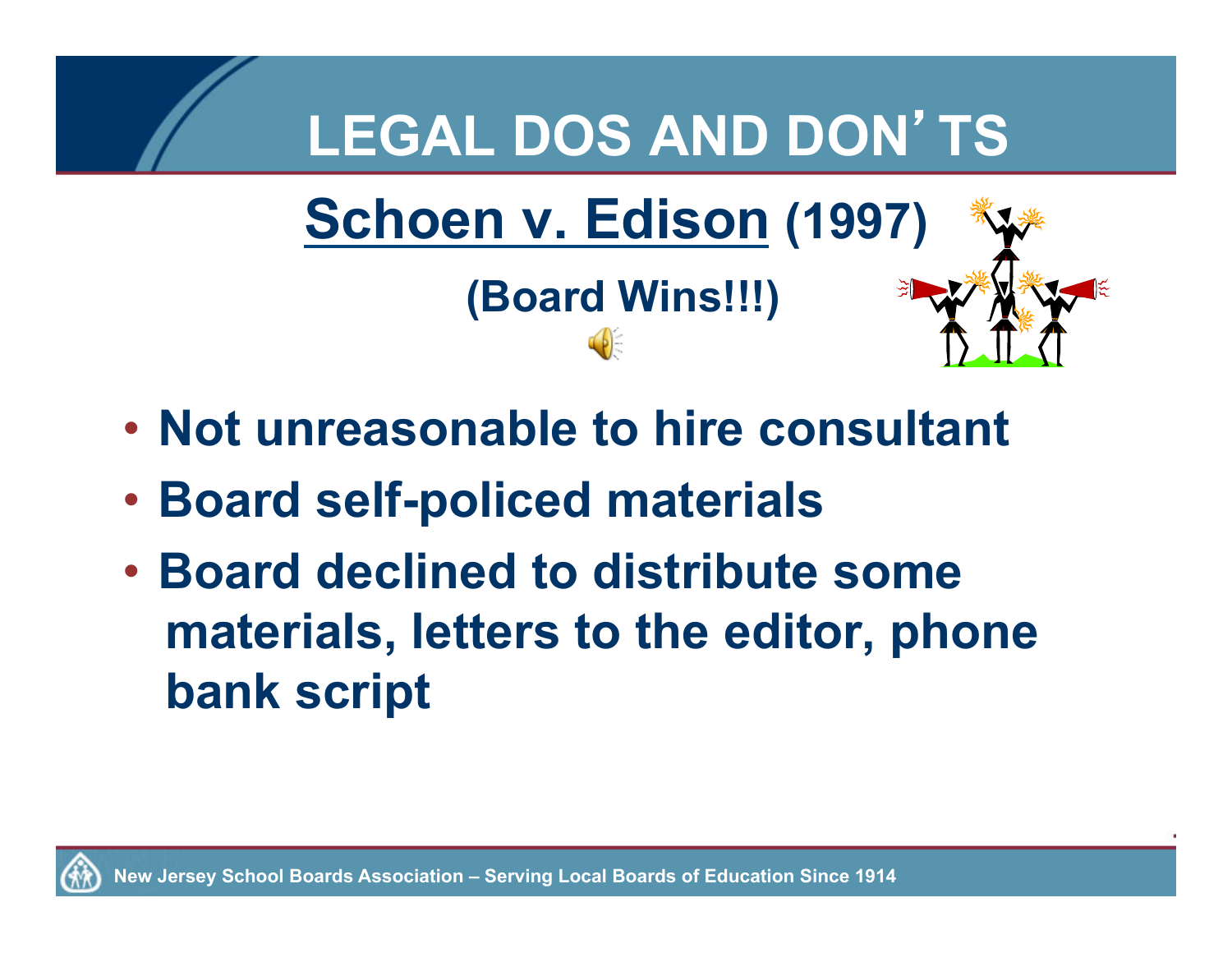

- **Not unreasonable to hire consultant**
- **Board self-policed materials**
- **Board declined to distribute some materials, letters to the editor, phone bank script**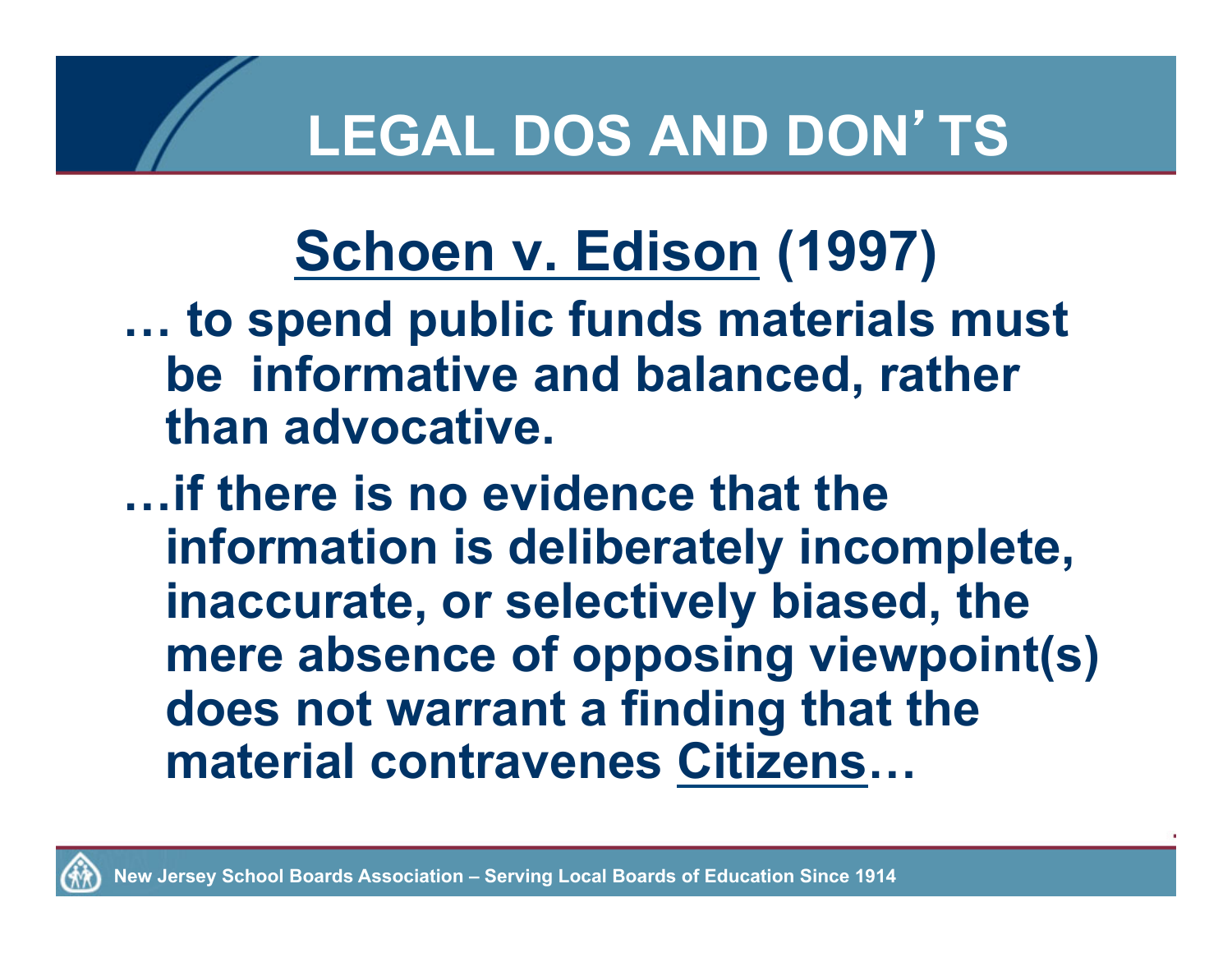# **Schoen v. Edison (1997)**

**… to spend public funds materials must be informative and balanced, rather than advocative.** 

**…if there is no evidence that the information is deliberately incomplete, inaccurate, or selectively biased, the mere absence of opposing viewpoint(s) does not warrant a finding that the material contravenes Citizens…**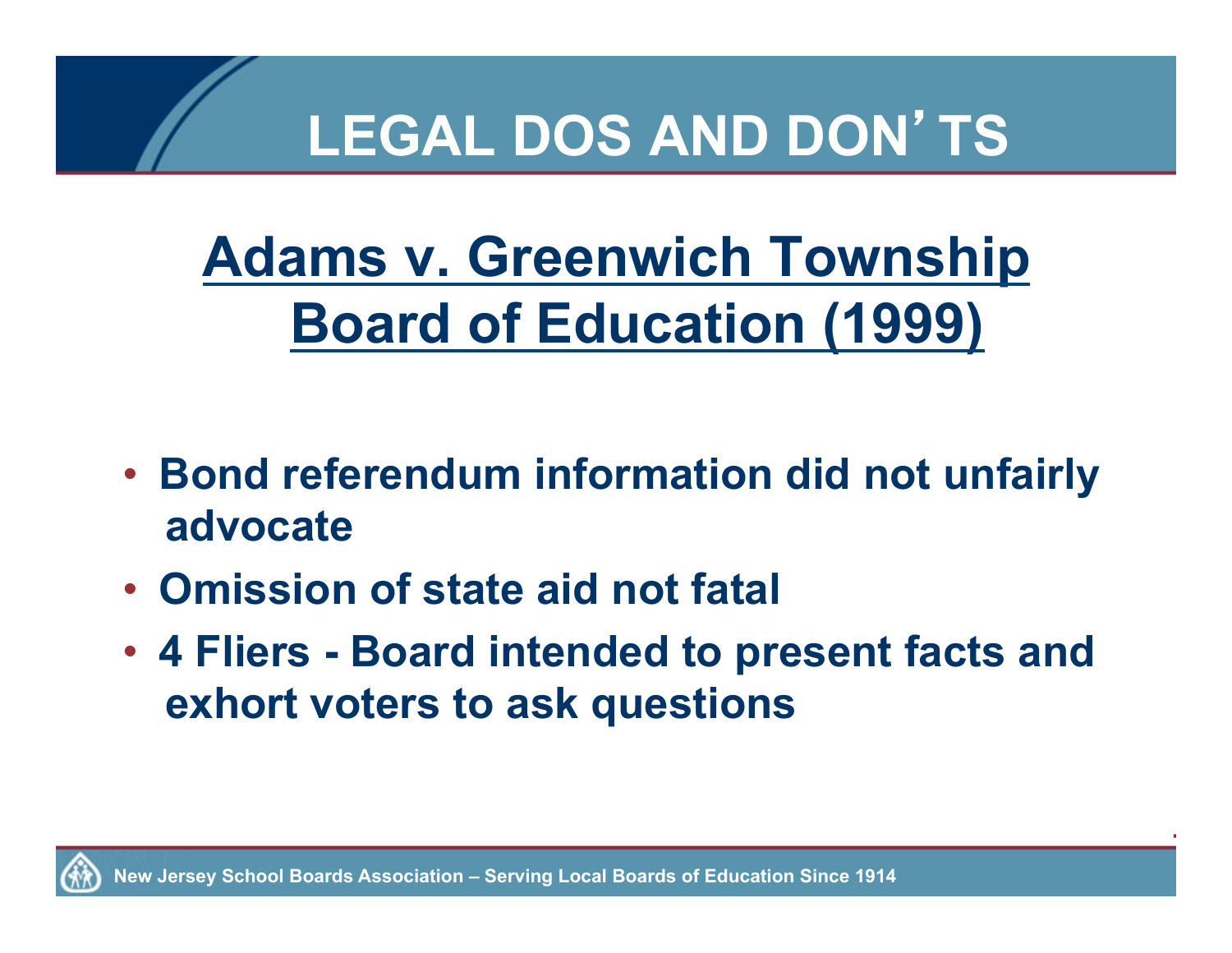## **Adams v. Greenwich Township Board of Education (1999)**

- **Bond referendum information did not unfairly advocate**
- **Omission of state aid not fatal**
- **4 Fliers Board intended to present facts and exhort voters to ask questions**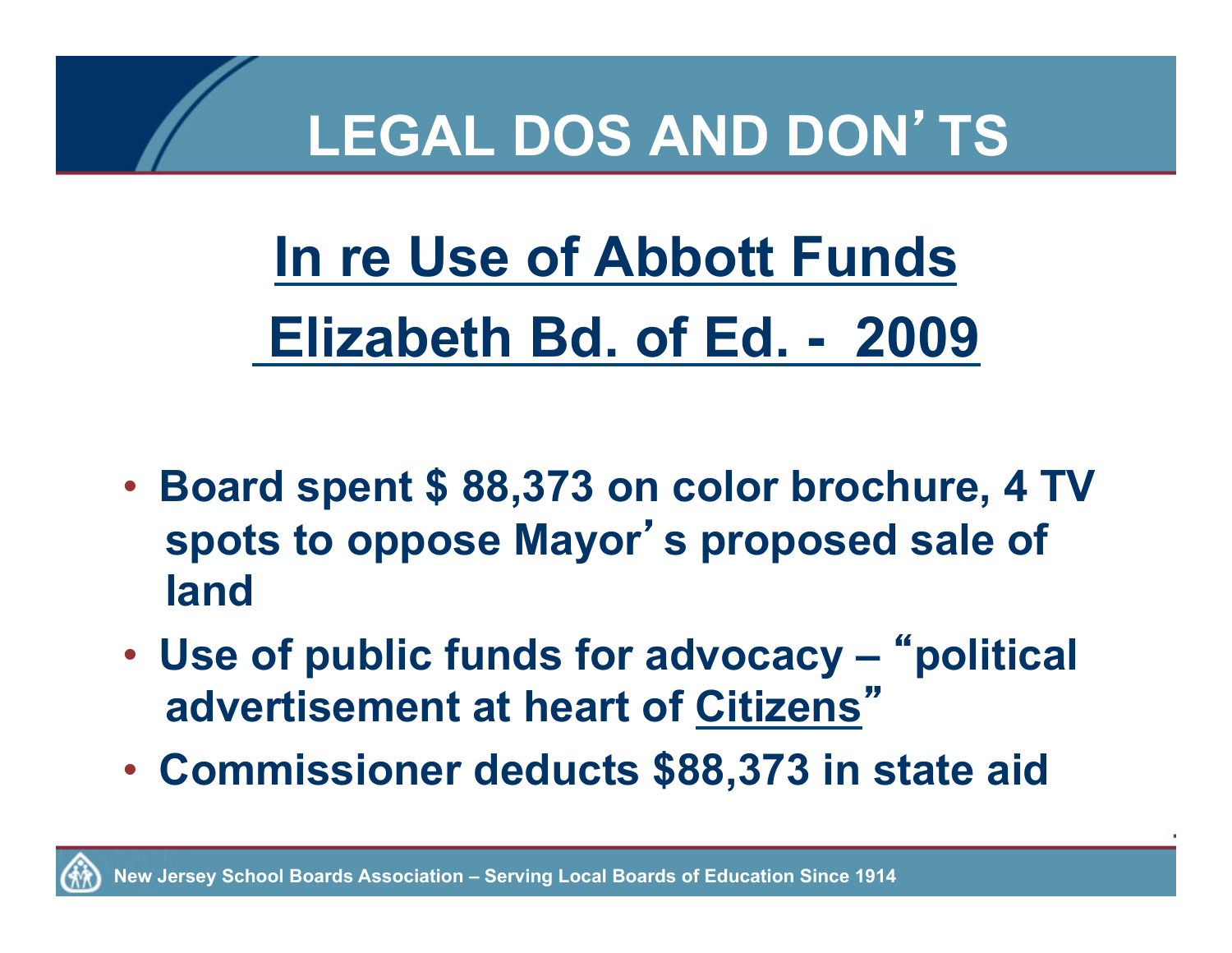**In re Use of Abbott Funds Elizabeth Bd. of Ed. - 2009**

- **Board spent \$ 88,373 on color brochure, 4 TV spots to oppose Mayor**'**s proposed sale of land**
- **Use of public funds for advocacy** "**political advertisement at heart of Citizens**"
- **Commissioner deducts \$88,373 in state aid**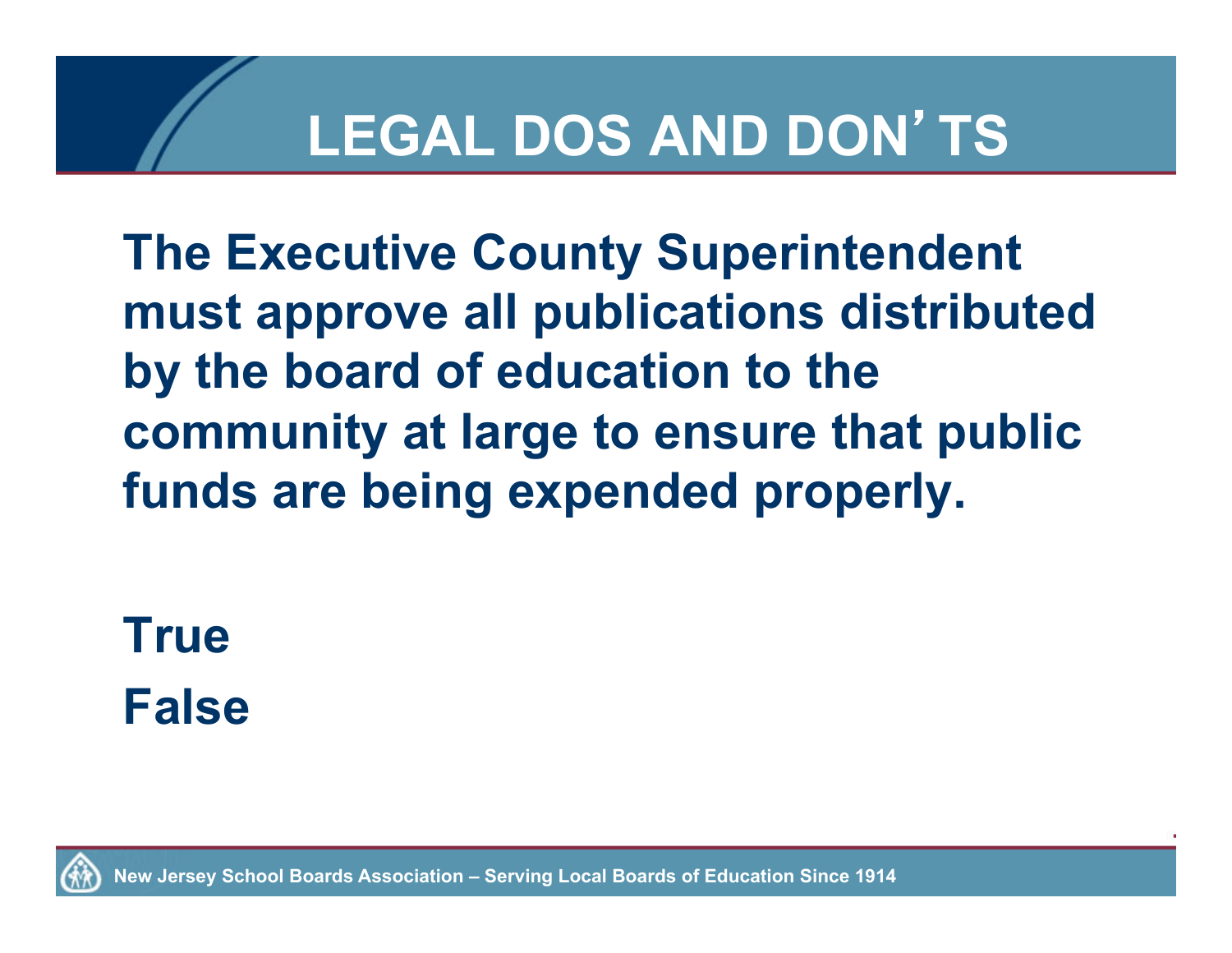**The Executive County Superintendent must approve all publications distributed by the board of education to the community at large to ensure that public funds are being expended properly.** 

**True False**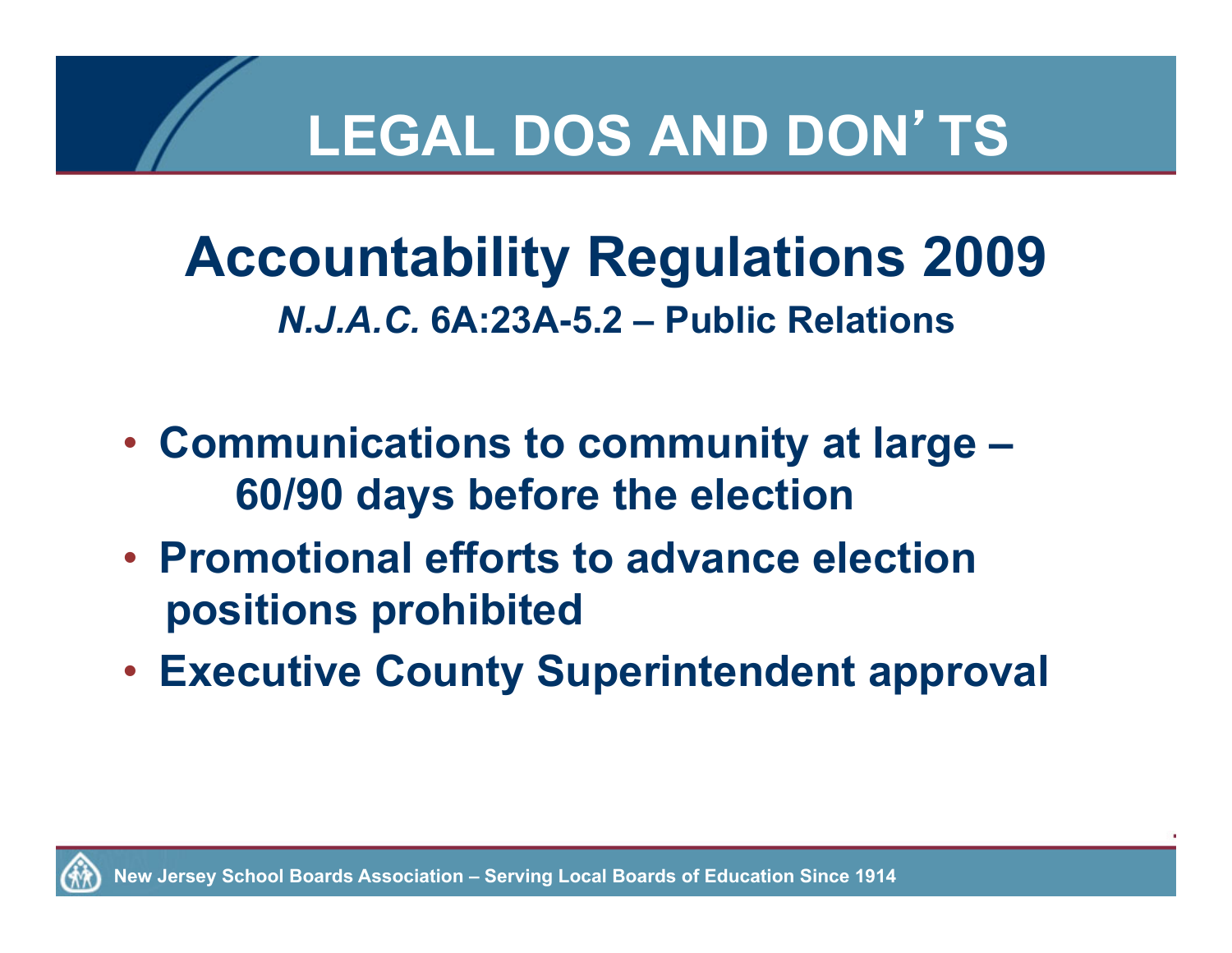**Accountability Regulations 2009**  *N.J.A.C.* **6A:23A-5.2 – Public Relations** 

- **Communications to community at large 60/90 days before the election**
- **Promotional efforts to advance election positions prohibited**
- **Executive County Superintendent approval**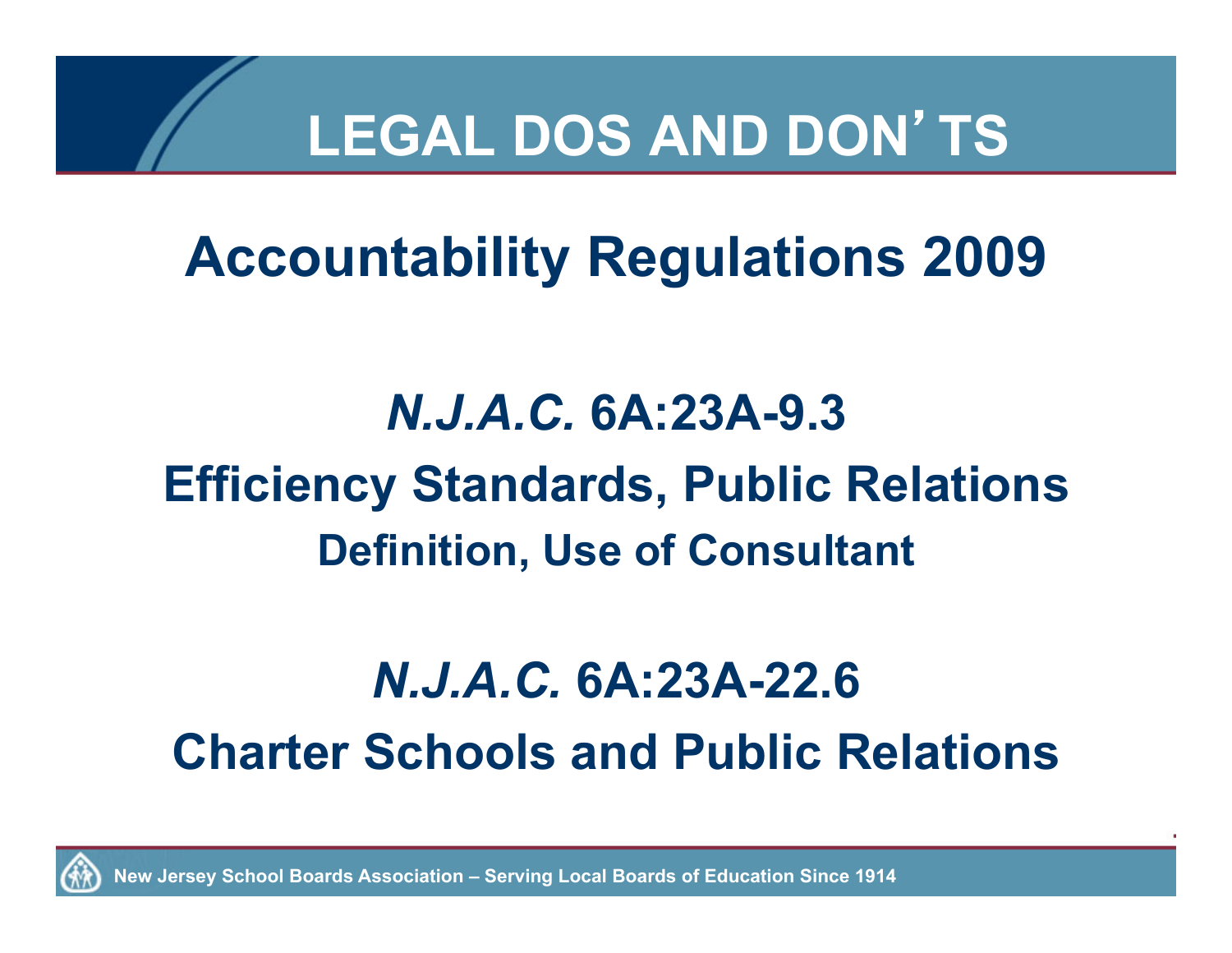#### **Accountability Regulations 2009**

#### *N.J.A.C.* **6A:23A-9.3 Efficiency Standards, Public Relations Definition, Use of Consultant**

#### *N.J.A.C.* **6A:23A-22.6 Charter Schools and Public Relations**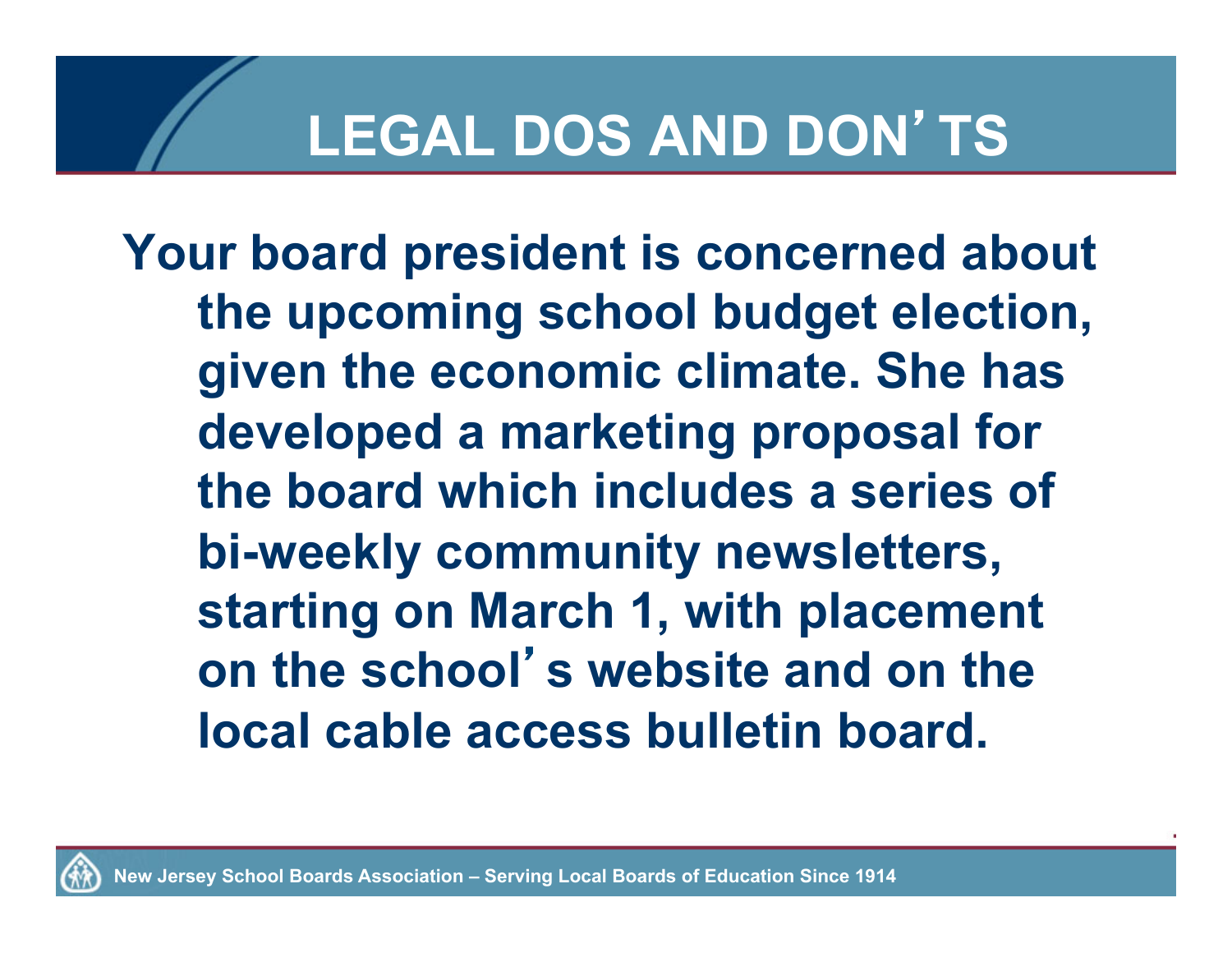**Your board president is concerned about the upcoming school budget election, given the economic climate. She has developed a marketing proposal for the board which includes a series of bi-weekly community newsletters, starting on March 1, with placement on the school**'**s website and on the local cable access bulletin board.**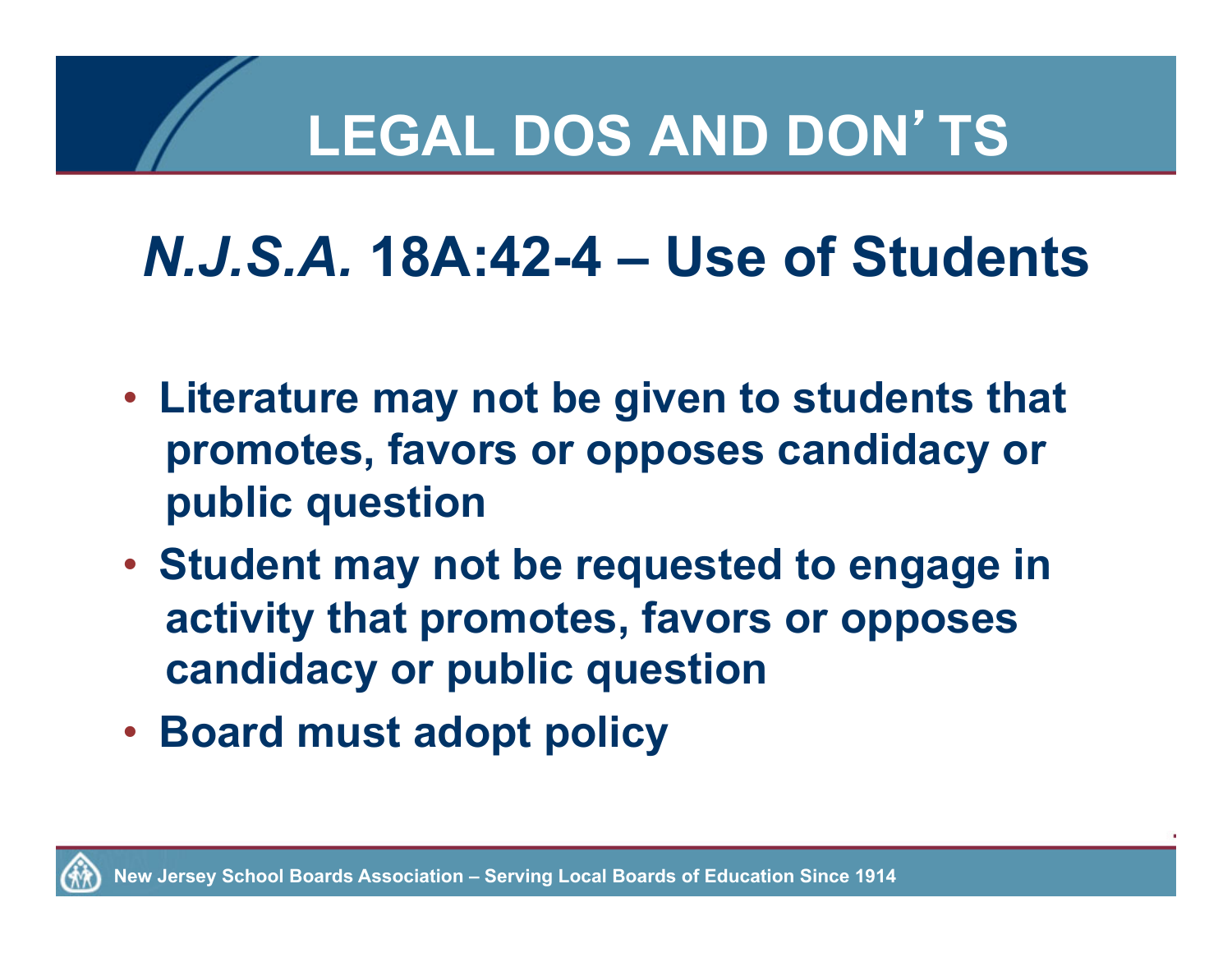## *N.J.S.A.* **18A:42-4 – Use of Students**

- **Literature may not be given to students that promotes, favors or opposes candidacy or public question**
- **Student may not be requested to engage in activity that promotes, favors or opposes candidacy or public question**
- **Board must adopt policy**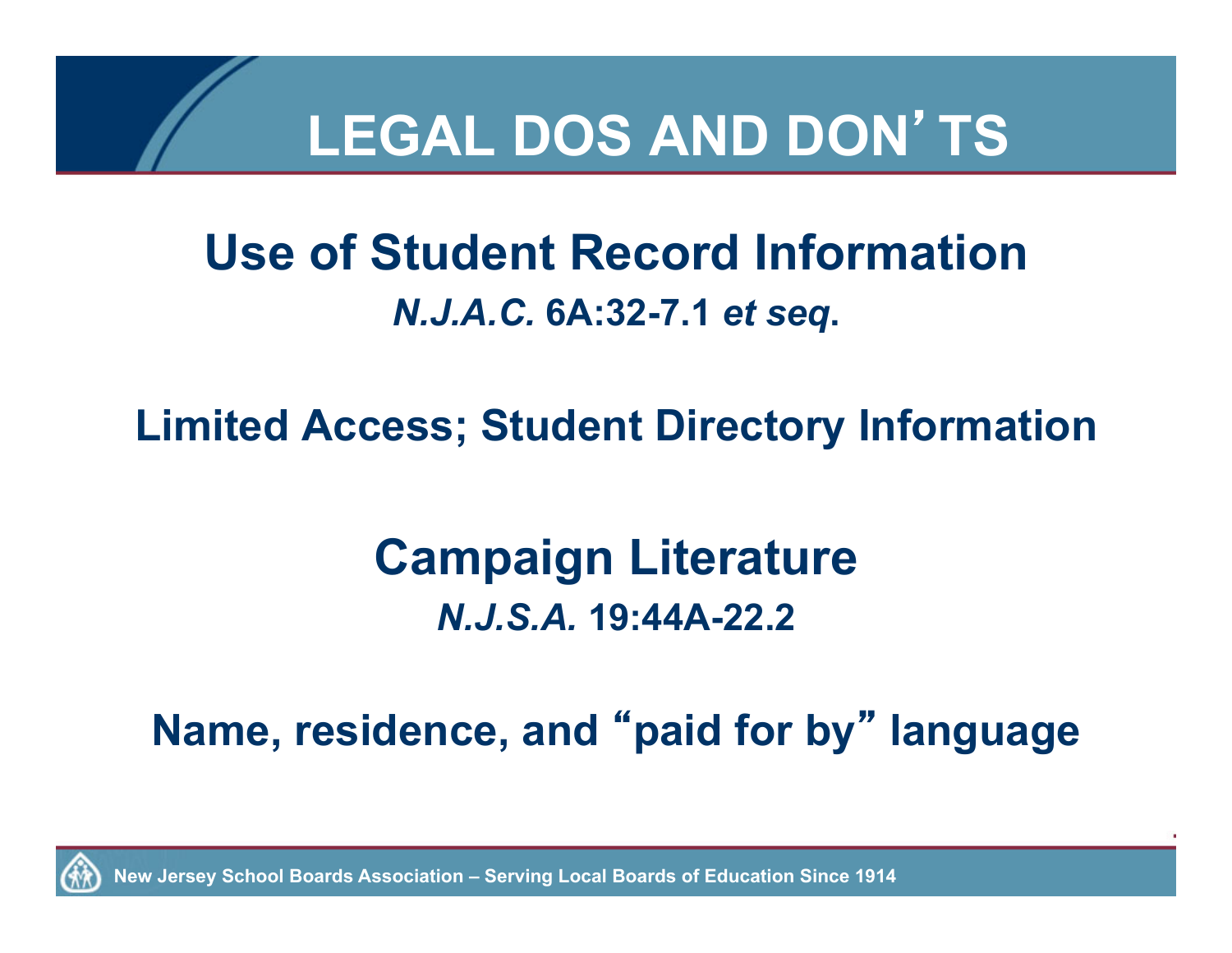

#### **Use of Student Record Information**  *N.J.A.C.* **6A:32-7.1** *et seq***.**

**Limited Access; Student Directory Information** 

#### **Campaign Literature**  *N.J.S.A.* **19:44A-22.2**

#### **Name, residence, and** "**paid for by**" **language**

**New Jersey School Boards Association – Serving Local Boards of Education Since 1914**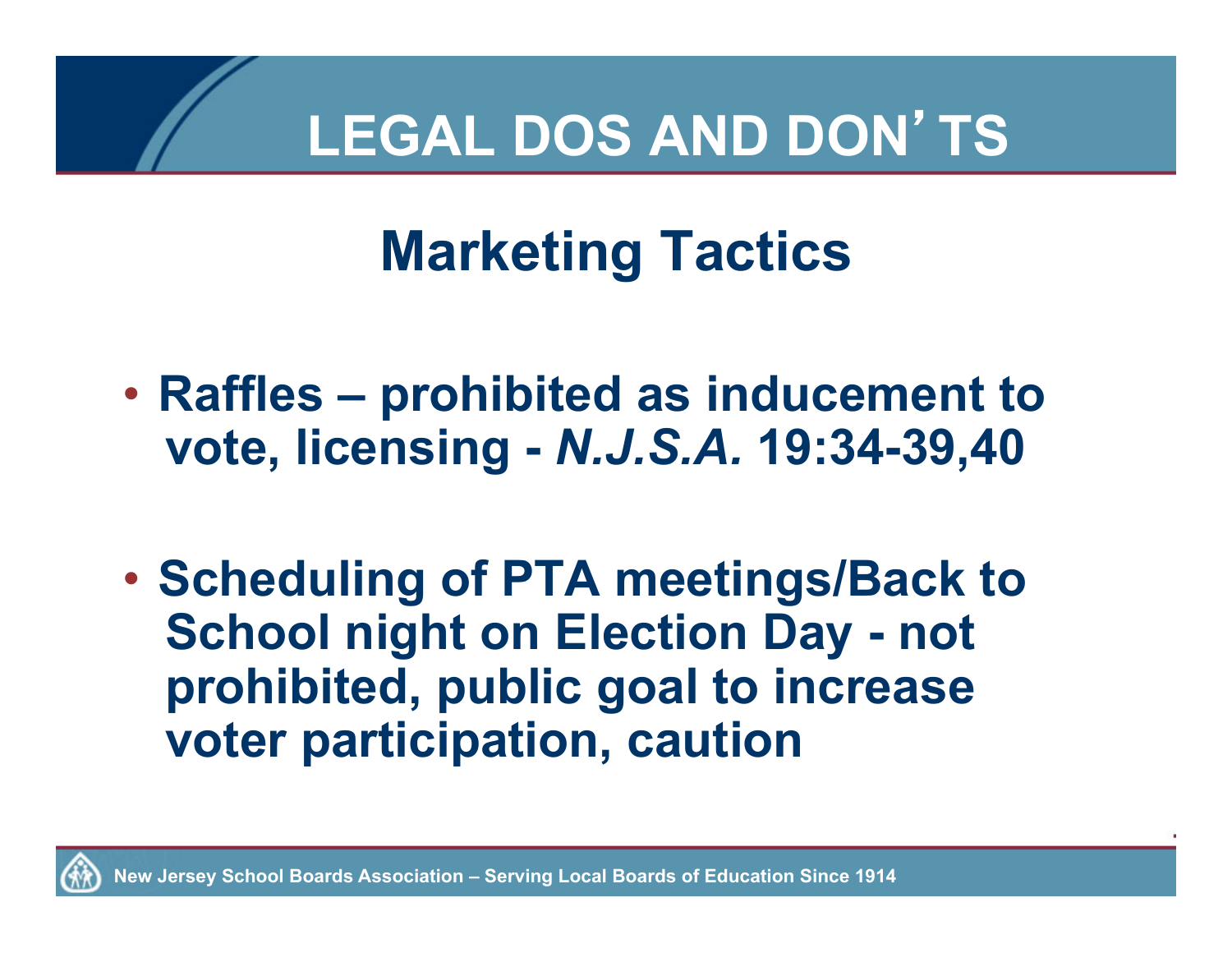## **Marketing Tactics**

- **Raffles prohibited as inducement to vote, licensing -** *N.J.S.A.* **19:34-39,40**
- **Scheduling of PTA meetings/Back to School night on Election Day - not prohibited, public goal to increase voter participation, caution**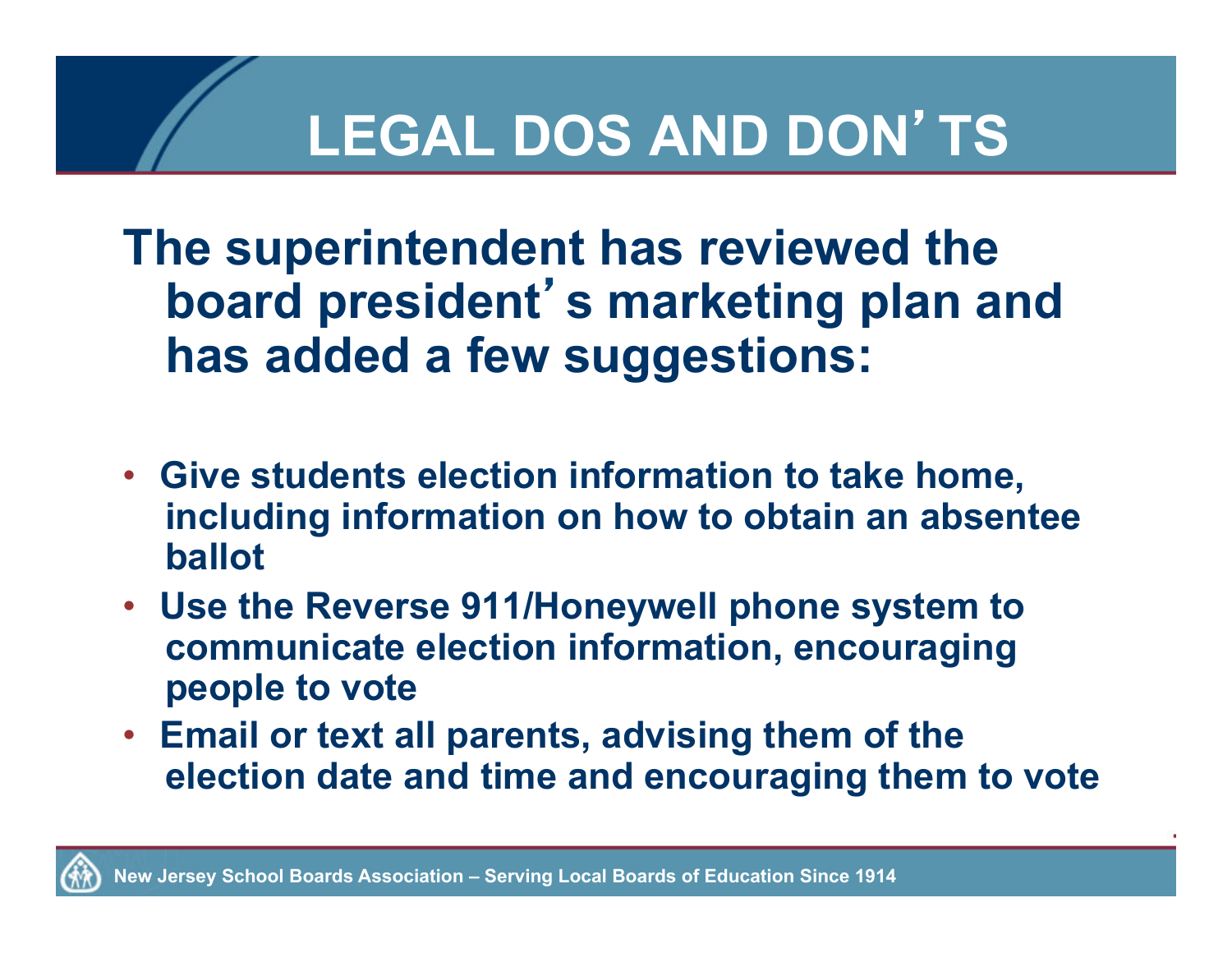**The superintendent has reviewed the board president**'**s marketing plan and has added a few suggestions:** 

- **Give students election information to take home, including information on how to obtain an absentee ballot**
- **Use the Reverse 911/Honeywell phone system to communicate election information, encouraging people to vote**
- **Email or text all parents, advising them of the election date and time and encouraging them to vote**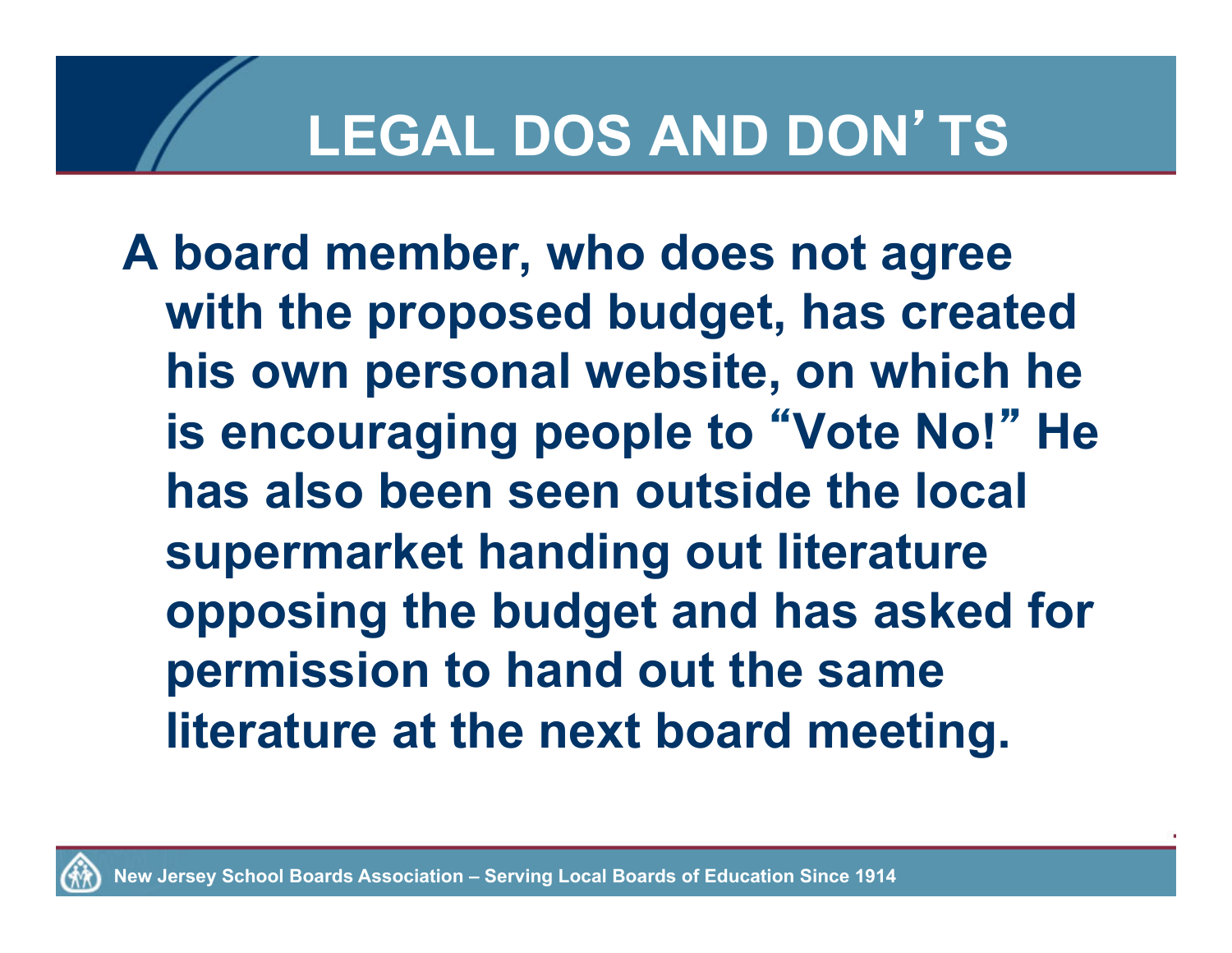**A board member, who does not agree with the proposed budget, has created his own personal website, on which he is encouraging people to** "**Vote No!**" **He has also been seen outside the local supermarket handing out literature opposing the budget and has asked for permission to hand out the same literature at the next board meeting.**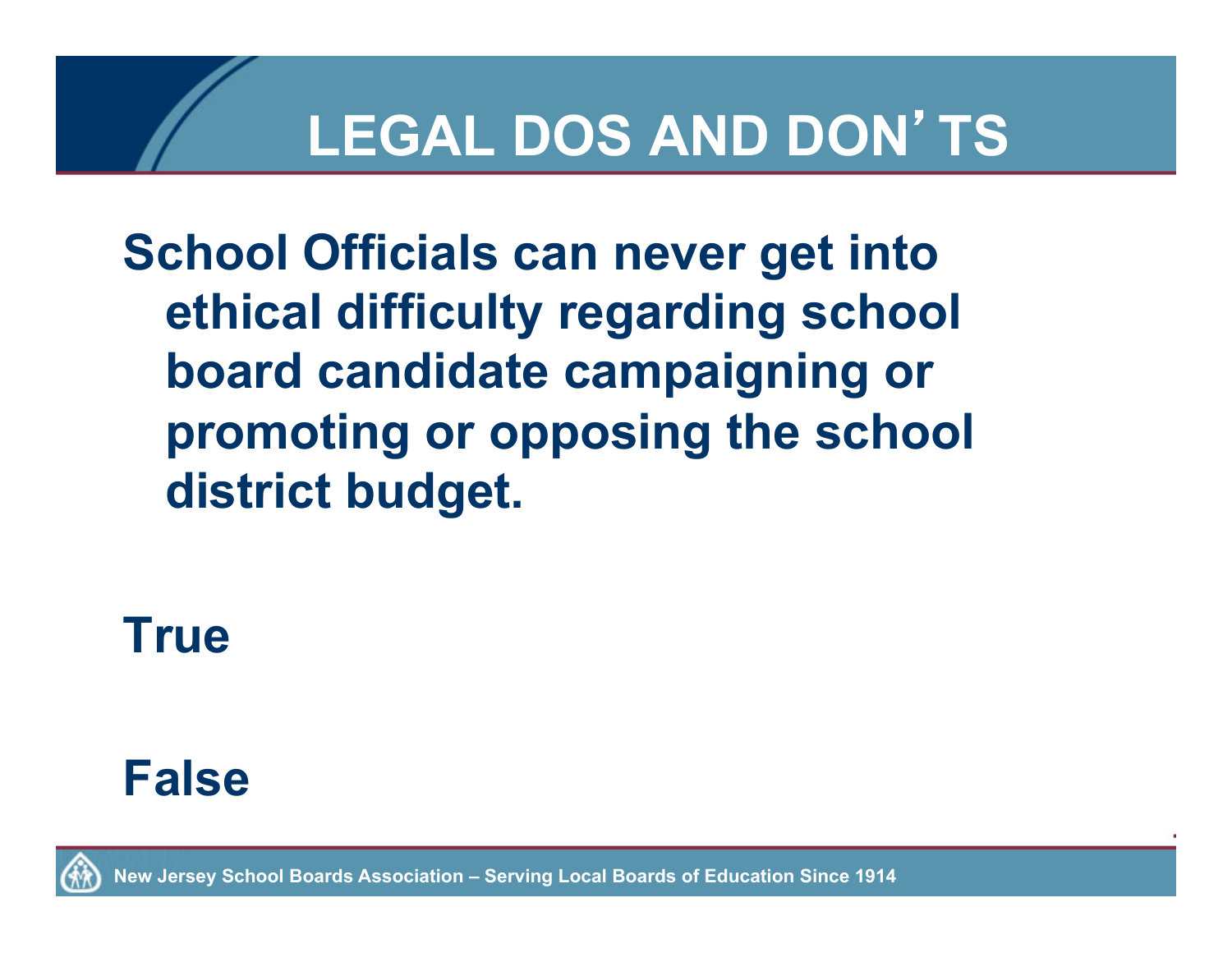**School Officials can never get into ethical difficulty regarding school board candidate campaigning or promoting or opposing the school district budget.** 

**True** 



**New Jersey School Boards Association – Serving Local Boards of Education Since 1914**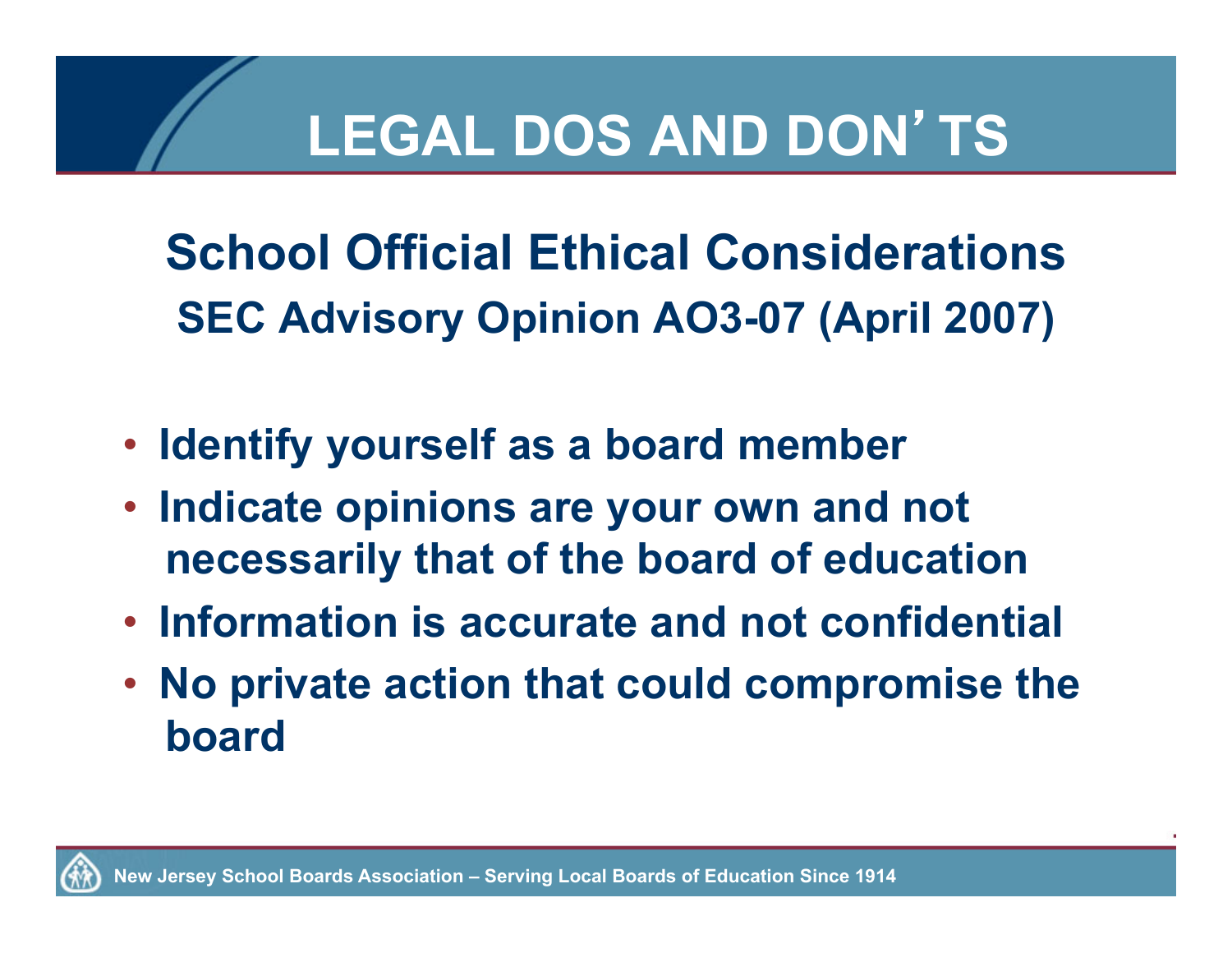**School Official Ethical Considerations SEC Advisory Opinion AO3-07 (April 2007)** 

- **Identify yourself as a board member**
- **Indicate opinions are your own and not necessarily that of the board of education**
- **Information is accurate and not confidential**
- **No private action that could compromise the board**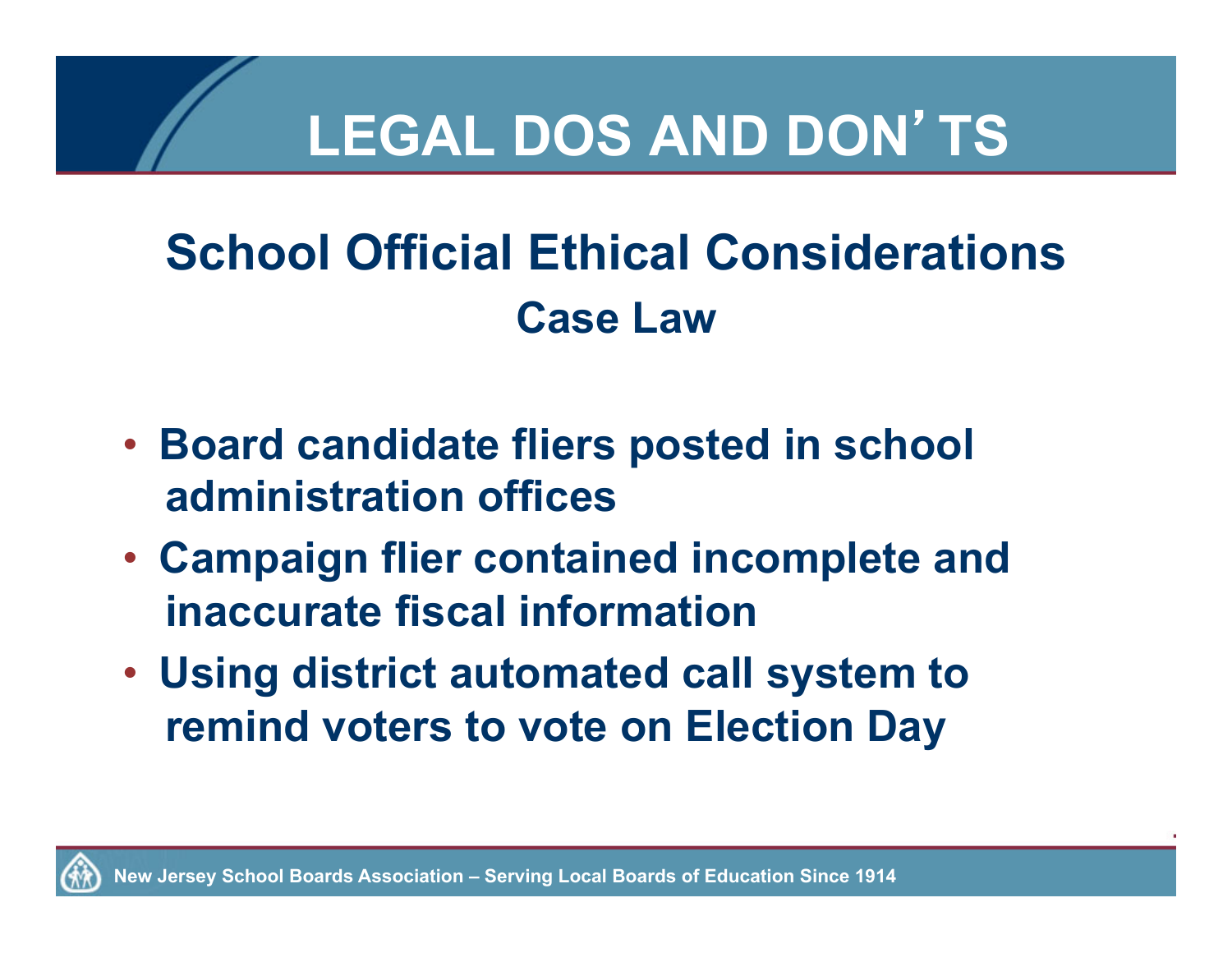#### **School Official Ethical Considerations Case Law**

- **Board candidate fliers posted in school administration offices**
- **Campaign flier contained incomplete and inaccurate fiscal information**
- **Using district automated call system to remind voters to vote on Election Day**